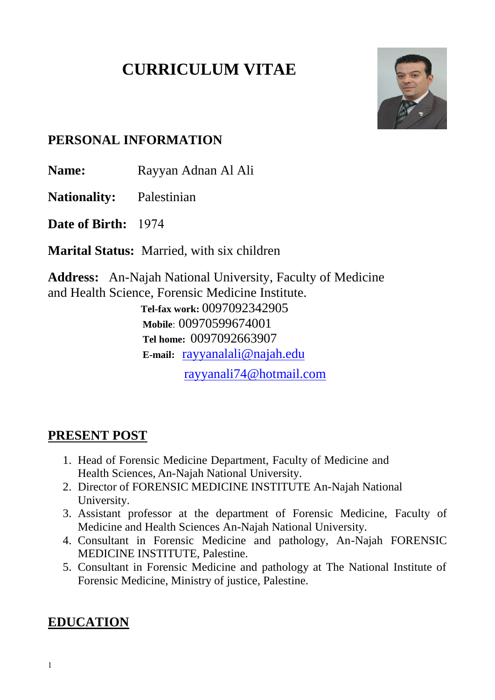# **CURRICULUM VITAE**



# **PERSONAL INFORMATION**

**Name:** Rayyan Adnan Al Ali

**Nationality:** Palestinian

Date of Rirth: 1974

**Marital Status:** Married, with six children

**Address:** An-Najah National University, Faculty of Medicine and Health Science, Forensic Medicine Institute. **Tel-fax work:** 0097092342905  **Mobile**: 00970599674001  **Tel home:** 0097092663907  **E-mail:** [rayyanalali@najah.edu](mailto:rayyanalali@najah.edu)

[rayyanali74@hotmail.com](mailto:rayyanali74@hotmail.com)

# **PRESENT POST**

- 1. Head of Forensic Medicine Department, Faculty of Medicine and Health Sciences, An-Najah National University.
- 2. Director of FORENSIC MEDICINE INSTITUTE An-Najah National University.
- 3. Assistant professor at the department of Forensic Medicine, Faculty of Medicine and Health Sciences An-Najah National University.
- 4. Consultant in Forensic Medicine and pathology, An-Najah FORENSIC MEDICINE INSTITUTE, Palestine.
- 5. Consultant in Forensic Medicine and pathology at The National Institute of Forensic Medicine, Ministry of justice, Palestine.

# **EDUCATION**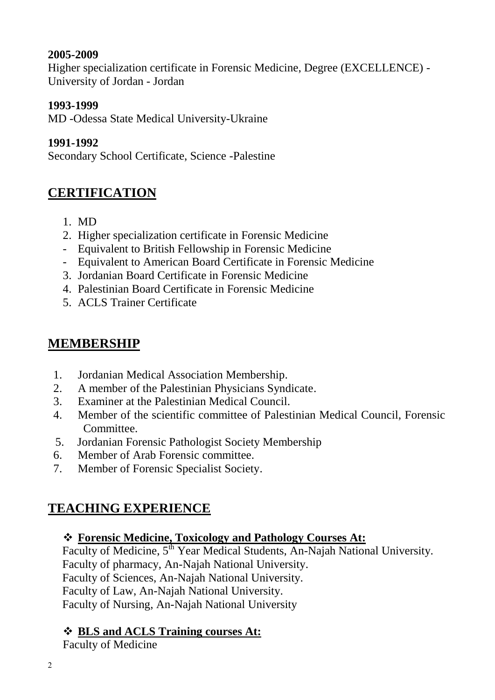#### **2005-2009**

Higher specialization certificate in Forensic Medicine, Degree (EXCELLENCE) - University of Jordan - Jordan

### **1993-1999**

MD -Odessa State Medical University-Ukraine

# **1991-1992**

Secondary School Certificate, Science -Palestine

# **CERTIFICATION**

- 1. MD
- 2. Higher specialization certificate in Forensic Medicine
- Equivalent to British Fellowship in Forensic Medicine
- Equivalent to American Board Certificate in Forensic Medicine
- 3. Jordanian Board Certificate in Forensic Medicine
- 4. Palestinian Board Certificate in Forensic Medicine
- 5. ACLS Trainer Certificate

# **MEMBERSHIP**

- 1. Jordanian Medical Association Membership.
- 2. A member of the Palestinian Physicians Syndicate.
- 3. Examiner at the Palestinian Medical Council.
- 4. Member of the scientific committee of Palestinian Medical Council, Forensic Committee.
- 5. Jordanian Forensic Pathologist Society Membership
- 6. Member of Arab Forensic committee.
- 7. Member of Forensic Specialist Society.

# **TEACHING EXPERIENCE**

# **Forensic Medicine, Toxicology and Pathology Courses At:**

Faculty of Medicine, 5<sup>th</sup> Year Medical Students, An-Najah National University. Faculty of pharmacy, An-Najah National University. Faculty of Sciences, An-Najah National University. Faculty of Law, An-Najah National University. Faculty of Nursing, An-Najah National University

# **BLS and ACLS Training courses At:**

Faculty of Medicine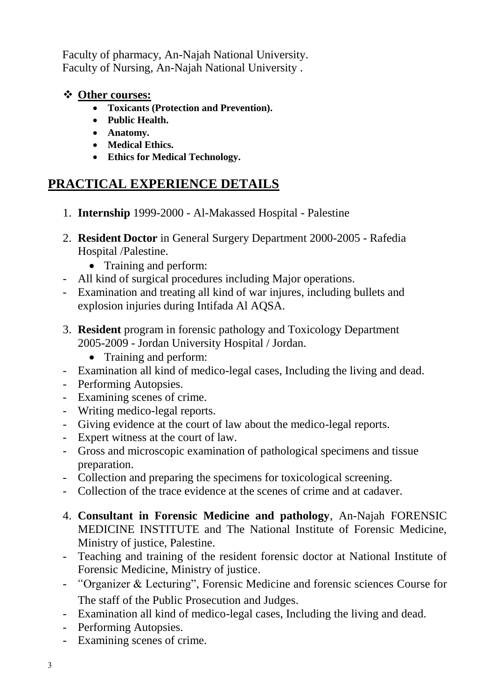Faculty of pharmacy, An-Najah National University. Faculty of Nursing, An-Najah National University .

### **Other courses:**

- **Toxicants (Protection and Prevention).**
- **Public Health.**
- **Anatomy.**
- **Medical Ethics.**
- **Ethics for Medical Technology.**

# **PRACTICAL EXPERIENCE DETAILS**

- 1. **Internship** 1999-2000 Al-Makassed Hospital Palestine
- 2. **Resident Doctor** in General Surgery Department 2000-2005 Rafedia Hospital /Palestine.
	- Training and perform:
- All kind of surgical procedures including Major operations.
- Examination and treating all kind of war injures, including bullets and explosion injuries during Intifada Al AQSA.
- 3. **Resident** program in forensic pathology and Toxicology Department 2005-2009 - Jordan University Hospital / Jordan.
	- Training and perform:
- Examination all kind of medico-legal cases, Including the living and dead.
- Performing Autopsies.
- Examining scenes of crime.
- Writing medico-legal reports.
- Giving evidence at the court of law about the medico-legal reports.
- Expert witness at the court of law.
- Gross and microscopic examination of pathological specimens and tissue preparation.
- Collection and preparing the specimens for toxicological screening.
- Collection of the trace evidence at the scenes of crime and at cadaver.
- 4. **Consultant in Forensic Medicine and pathology**, An-Najah FORENSIC MEDICINE INSTITUTE and The National Institute of Forensic Medicine, Ministry of justice, Palestine.
- Teaching and training of the resident forensic doctor at National Institute of Forensic Medicine, Ministry of justice.
- "Organizer & Lecturing", Forensic Medicine and forensic sciences Course for The staff of the Public Prosecution and Judges.
- Examination all kind of medico-legal cases, Including the living and dead.
- Performing Autopsies.
- Examining scenes of crime.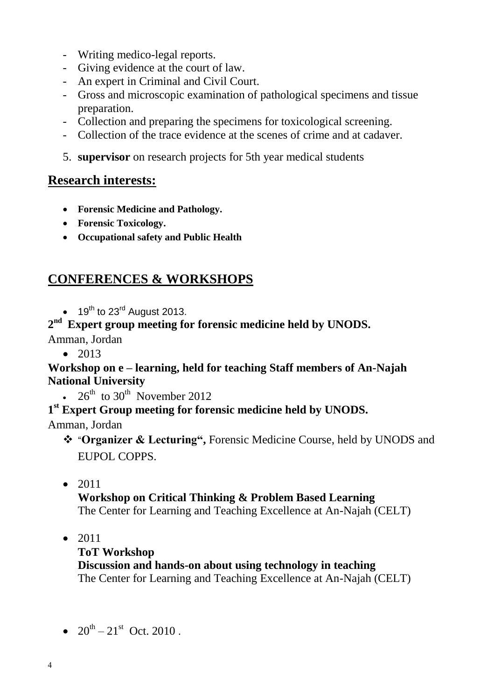- Writing medico-legal reports.
- Giving evidence at the court of law.
- An expert in Criminal and Civil Court.
- Gross and microscopic examination of pathological specimens and tissue preparation.
- Collection and preparing the specimens for toxicological screening.
- Collection of the trace evidence at the scenes of crime and at cadaver.
- 5. **supervisor** on research projects for 5th year medical students

#### **Research interests:**

- **Forensic Medicine and Pathology.**
- **Forensic Toxicology.**
- **Occupational safety and Public Health**

# **CONFERENCES & WORKSHOPS**

 $\bullet$  19<sup>th</sup> to 23<sup>rd</sup> August 2013.

# **2 nd Expert group meeting for forensic medicine held by UNODS.**

Amman, Jordan

 $-2013$ 

#### **Workshop on e – learning, held for teaching Staff members of An-Najah National University**

•  $26^{th}$  to  $30^{th}$  November 2012

# **1 st Expert Group meeting for forensic medicine held by UNODS.**

Amman, Jordan

- **"Organizer & Lecturing",** Forensic Medicine Course, held by UNODS and EUPOL COPPS.
- 2011

#### **Workshop on Critical Thinking & Problem Based Learning**

The Center for Learning and Teaching Excellence at An-Najah (CELT)

 $\bullet$  2011

#### **ToT Workshop**

#### **Discussion and hands-on about using technology in teaching**

The Center for Learning and Teaching Excellence at An-Najah (CELT)

•  $20^{th} - 21^{st}$  Oct. 2010.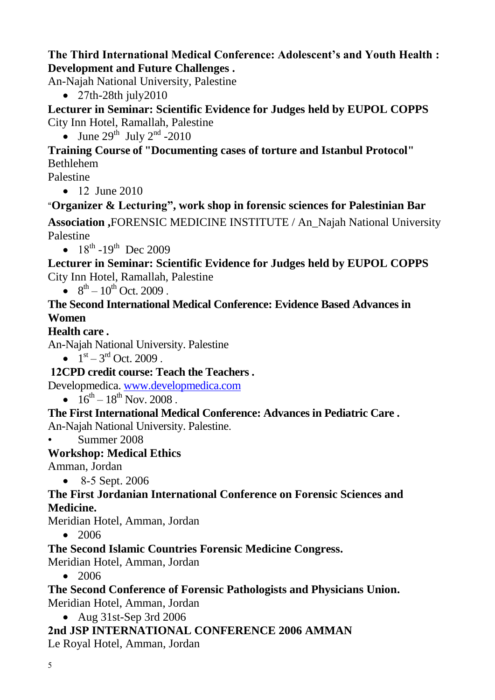#### **The Third International Medical Conference: Adolescent's and Youth Health : Development and Future Challenges .**

An-Najah National University, Palestine

 $\bullet$  27th-28th july2010

**Lecturer in Seminar: Scientific Evidence for Judges held by EUPOL COPPS** City Inn Hotel, Ramallah, Palestine

• June  $29^{\text{th}}$  July  $2^{\text{nd}}$  -2010

# **Training Course of "Documenting cases of torture and Istanbul Protocol"** Bethlehem

Palestine

• 12 June 2010

### **"Organizer & Lecturing", work shop in forensic sciences for Palestinian Bar**

**Association ,**FORENSIC MEDICINE INSTITUTE / An\_Najah National University Palestine

•  $18^{th}$  -19<sup>th</sup> Dec 2009

**Lecturer in Seminar: Scientific Evidence for Judges held by EUPOL COPPS** City Inn Hotel, Ramallah, Palestine

•  $8^{th} - 10^{th}$  Oct. 2009.

# **The Second International Medical Conference: Evidence Based Advances in Women**

# **Health care .**

An-Najah National University. Palestine

- $1<sup>st</sup> 3<sup>rd</sup>$  Oct. 2009.
- **21CPD credit course: Teach the Teachers .**

Developmedica. [www.developmedica.com](http://www.developmedica.com/)

•  $16^{th} - 18^{th}$  Nov. 2008.

#### **The First International Medical Conference: Advances in Pediatric Care .**

An-Najah National University. Palestine.

Summer 2008

# **Workshop: Medical Ethics**

Amman, Jordan

 $-8-5$  Sept. 2006

# **The First Jordanian International Conference on Forensic Sciences and Medicine.**

Meridian Hotel, Amman, Jordan

• 2006

# **The Second Islamic Countries Forensic Medicine Congress.**

Meridian Hotel, Amman, Jordan

 $-2006$ 

**The Second Conference of Forensic Pathologists and Physicians Union.** Meridian Hotel, Amman, Jordan

Aug 31st-Sep 3rd 2006

**1nd JSP INTERNATIONAL CONFERENCE 2006 AMMAN** Le Royal Hotel, Amman, Jordan